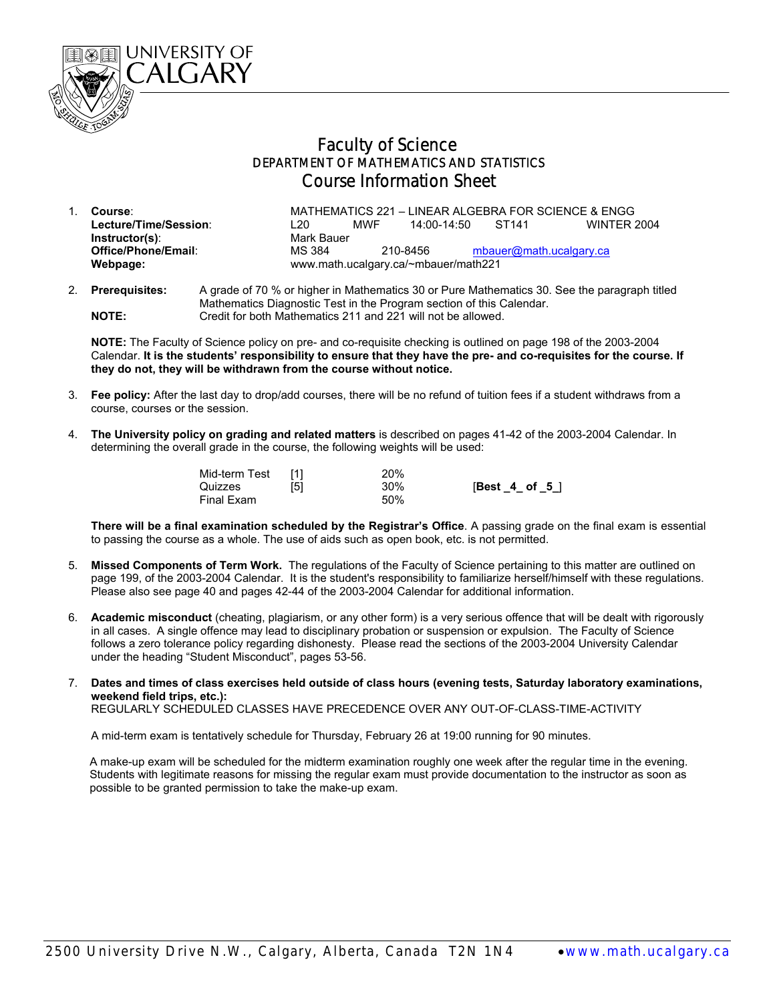

## Faculty of Science DEPARTMENT OF MATHEMATICS AND STATISTICS Course Information Sheet

- 1. **Course**: MATHEMATICS 221 LINEAR ALGEBRA FOR SCIENCE & ENGG **Lecture/Time/Session**: L20 MWF 14:00-14:50 ST141 WINTER 2004 **Instructor(s):** Mark Bauer<br> **Office/Phone/Email:** MS 384 MS 384 210-8456 [mbauer@math.ucalgary.ca](mailto:mbauer@math.ucalgary.ca) **Webpage:** www.math.ucalgary.ca/~mbauer/math221
- 2. **Prerequisites:** A grade of 70 % or higher in Mathematics 30 or Pure Mathematics 30. See the paragraph titled Mathematics Diagnostic Test in the Program section of this Calendar. **NOTE:** Credit for both Mathematics 211 and 221 will not be allowed.

**NOTE:** The Faculty of Science policy on pre- and co-requisite checking is outlined on page 198 of the 2003-2004 Calendar. **It is the students' responsibility to ensure that they have the pre- and co-requisites for the course. If they do not, they will be withdrawn from the course without notice.**

- 3. **Fee policy:** After the last day to drop/add courses, there will be no refund of tuition fees if a student withdraws from a course, courses or the session.
- 4. **The University policy on grading and related matters** is described on pages 41-42 of the 2003-2004 Calendar. In determining the overall grade in the course, the following weights will be used:

| Mid-term Test<br>Quizzes | [5] | 20%<br>30% | $[Best_4_ of_5]$ |
|--------------------------|-----|------------|------------------|
| Final Exam               |     | 50%        |                  |

**There will be a final examination scheduled by the Registrar's Office**. A passing grade on the final exam is essential to passing the course as a whole. The use of aids such as open book, etc. is not permitted.

- 5. **Missed Components of Term Work.** The regulations of the Faculty of Science pertaining to this matter are outlined on page 199, of the 2003-2004 Calendar. It is the student's responsibility to familiarize herself/himself with these regulations. Please also see page 40 and pages 42-44 of the 2003-2004 Calendar for additional information.
- 6. **Academic misconduct** (cheating, plagiarism, or any other form) is a very serious offence that will be dealt with rigorously in all cases. A single offence may lead to disciplinary probation or suspension or expulsion. The Faculty of Science follows a zero tolerance policy regarding dishonesty. Please read the sections of the 2003-2004 University Calendar under the heading "Student Misconduct", pages 53-56.
- 7. **Dates and times of class exercises held outside of class hours (evening tests, Saturday laboratory examinations, weekend field trips, etc.):**

REGULARLY SCHEDULED CLASSES HAVE PRECEDENCE OVER ANY OUT-OF-CLASS-TIME-ACTIVITY

A mid-term exam is tentatively schedule for Thursday, February 26 at 19:00 running for 90 minutes.

 A make-up exam will be scheduled for the midterm examination roughly one week after the regular time in the evening. Students with legitimate reasons for missing the regular exam must provide documentation to the instructor as soon as possible to be granted permission to take the make-up exam.